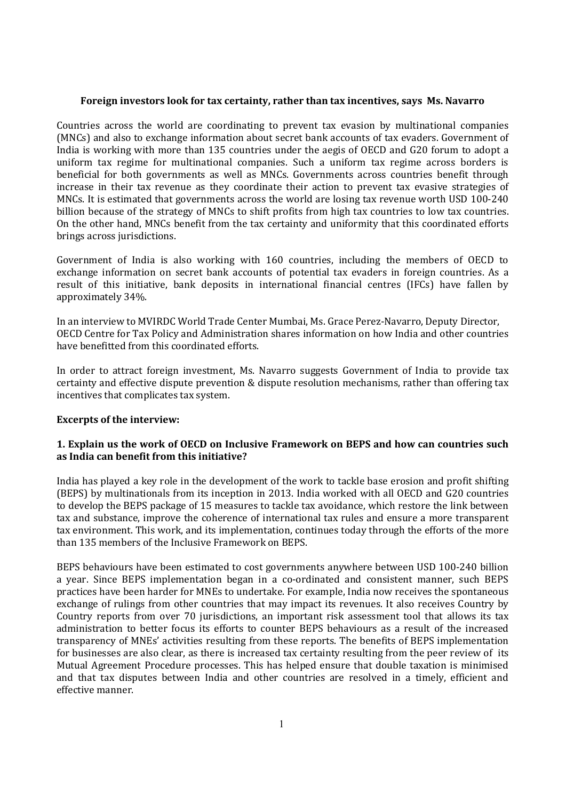#### **Foreign investors look for tax certainty, rather than tax incentives, says Ms. Navarro**

Countries across the world are coordinating to prevent tax evasion by multinational companies (MNCs) and also to exchange information about secret bank accounts of tax evaders. Government of India is working with more than 135 countries under the aegis of OECD and G20 forum to adopt a uniform tax regime for multinational companies. Such a uniform tax regime across borders is beneficial for both governments as well as MNCs. Governments across countries benefit through increase in their tax revenue as they coordinate their action to prevent tax evasive strategies of MNCs. It is estimated that governments across the world are losing tax revenue worth USD 100-240 billion because of the strategy of MNCs to shift profits from high tax countries to low tax countries. On the other hand, MNCs benefit from the tax certainty and uniformity that this coordinated efforts brings across jurisdictions.

Government of India is also working with 160 countries, including the members of OECD to exchange information on secret bank accounts of potential tax evaders in foreign countries. As a result of this initiative, bank deposits in international financial centres (IFCs) have fallen by approximately 34%.

In an interview to MVIRDC World Trade Center Mumbai, Ms. Grace Perez-Navarro, Deputy Director, OECD Centre for Tax Policy and Administration shares information on how India and othercountries have benefitted from this coordinated efforts.

In order to attract foreign investment, Ms. Navarro suggests Government of India to provide tax certainty and effective dispute prevention & dispute resolution mechanisms, rather than offering tax incentives that complicates tax system.

#### **Excerpts of the interview:**

## **1. Explain us the work ofOECD on Inclusive Framework on BEPS and how can countries such as India can benefit from this initiative?**

India has played a key role in the development of the work to tackle base erosion and profit shifting (BEPS) by multinationals from its inception in 2013. India worked with all OECD and G20 countries to develop the BEPS package of 15 measures to tackle tax avoidance, which restore the link between tax and substance, improve the coherence of international tax rules and ensure a more transparent tax environment. This work, and its implementation, continues today through the efforts of the more than 135 members of the Inclusive Framework on BEPS.

BEPS behaviours have been estimated to cost governments anywhere between USD 100-240 billion a year. Since BEPS implementation began in a co-ordinated and consistent manner, such BEPS practices have been harder for MNEs to undertake. For example, India now receives the spontaneous exchange of rulings from other countries that may impact its revenues. It also receives Country by Country reports from over 70 jurisdictions, an important risk assessment tool that allows its tax administration to better focus its efforts to counter BEPS behaviours as a result of the increased transparency of MNEs' activities resulting from these reports. The benefits of BEPS implementation for businesses are also clear, as there is increased tax certainty resulting from the peer review of its Mutual Agreement Procedure processes. This has helped ensure that double taxation is minimised and that tax disputes between India and other countries are resolved in a timely, efficient and effective manner.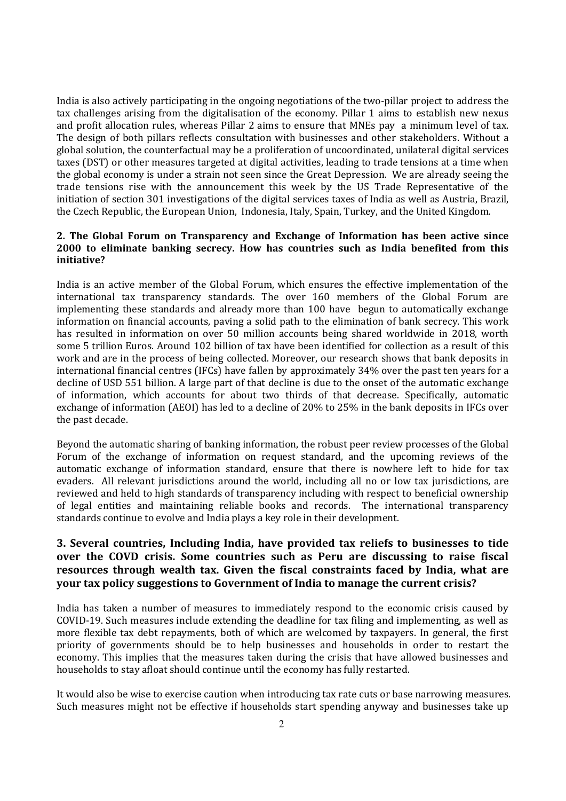India is also actively participating in the ongoing negotiations of the two-pillar project to address the tax challenges arising from the digitalisation of the economy. Pillar 1 aims to establish new nexus and profit allocation rules, whereas Pillar 2 aims to ensure that MNEs pay a minimum level of tax. The design of both pillars reflects consultation with businesses and other stakeholders. Without a global solution, the counterfactual may be a proliferation of uncoordinated, unilateral digital services taxes (DST) or other measures targeted at digital activities, leading to trade tensions at a time when the global economy is under a strain not seen since the Great Depression. We are already seeing the trade tensions rise with the announcement this week by the US Trade Representative of the initiation of section 301 investigations of the digital services taxes of India as well as Austria, Brazil, the Czech Republic, the European Union, Indonesia, Italy, Spain, Turkey, and the United Kingdom.

#### **2. The Global Forum on Transparency and Exchange of Information has been active since 2000 to eliminate banking secrecy. How has countries such as India benefited from this initiative?**

India is an active member of the Global Forum, which ensures the effective implementation of the international tax transparency standards. The over 160 members of the Global Forum are implementing these standards and already more than 100 have begun to automatically exchange information on financial accounts, paving a solid path to the elimination of bank secrecy. This work has resulted in information on over 50 million accounts being shared worldwide in 2018, worth some 5 trillion Euros. Around 102 billion of tax have been identified for collection as a result of this work and are in the process of being collected. Moreover, our research shows that bank deposits in international financial centres (IFCs) have fallen by approximately 34% over the past ten years for a decline of USD 551 billion. A large part of that decline is due to the onset of the automatic exchange of information, which accounts for about two thirds of that decrease. Specifically, automatic exchange of information (AEOI) has led to a decline of 20% to 25% in the bank deposits in IFCs over the past decade.

Beyond the automatic sharing of banking information, the robust peer review processes of the Global Forum of the exchange of information on request standard, and the upcoming reviews of the automatic exchange of information standard, ensure that there is nowhere left to hide for tax evaders. All relevant jurisdictions around the world, including all no or low tax jurisdictions, are reviewed and held to high standards of transparency including with respect to beneficial ownership of legal entities and maintaining reliable books and records. The international transparency standards continue to evolve and India plays a key role in their development.

# **3. Several countries, Including India, have provided tax reliefs to businesses to tide over the COVD crisis. Some countries such as Peru are discussing to raise fiscal resources through wealth tax. Given the fiscal constraints faced by India, what are your tax policy suggestions to Government of India to manage the current crisis?**

India has taken a number of measures to immediately respond to the economic crisis caused by COVID-19. Such measures include extending the deadline for tax filing and implementing, as well as more flexible tax debt repayments, both of which are welcomed by taxpayers. In general, the first priority of governments should be to help businesses and households in order to restart the economy. This implies that the measures taken during the crisis that have allowed businesses and households to stay afloat should continue until the economy has fully restarted.

It would also be wise to exercise caution when introducing tax rate cuts or base narrowing measures. Such measures might not be effective if households start spending anyway and businesses take up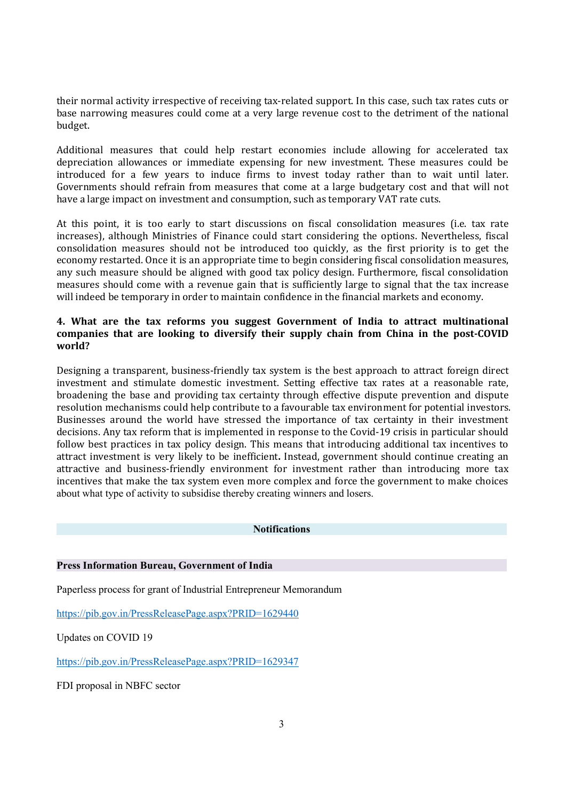their normal activity irrespective of receiving tax-related support. In this case, such tax rates cuts or base narrowing measures could come at a very large revenue cost to the detriment of the national budget.

Additional measures that could help restart economies include allowing for accelerated tax depreciation allowances or immediate expensing for new investment. These measures could be introduced for a few years to induce firms to invest today rather than to wait until later. Governments should refrain from measures that come at a large budgetary cost and that will not have a large impact on investment and consumption, such as temporary VAT rate cuts.

At this point, it is too early to start discussions on fiscal consolidation measures (i.e. tax rate increases), although Ministries of Finance could start considering the options. Nevertheless, fiscal consolidation measures should not be introduced too quickly, as the first priority is to get the economy restarted. Once it is an appropriate time to begin considering fiscal consolidation measures, any such measure should be aligned with good tax policy design. Furthermore, fiscal consolidation measures should come with a revenue gain that is sufficiently large to signal that the tax increase will indeed be temporary in order to maintain confidence in the financial markets and economy.

## **4. What are the tax reforms you suggest Government of India to attract multinational companies that are looking to diversify their supply chain from China in the post-COVID world?**

Designing a transparent, business-friendly tax system is the best approach to attract foreign direct investment and stimulate domestic investment. Setting effective tax rates at a reasonable rate, broadening the base and providing tax certainty through effective dispute prevention and dispute resolution mechanisms could help contribute to a favourable tax environment for potential investors. Businesses around the world have stressed the importance of tax certainty in their investment decisions. Any tax reform that is implemented in response to the Covid-19 crisis in particular should follow best practices in tax policy design. This means that introducing additional tax incentives to attract investment is very likely to be inefficient**.**Instead, government should continue creating an attractive and business-friendly environment for investment rather than introducing more tax incentives that make the tax system even more complex and force the government to make choices about what type of activity to subsidise thereby creating winners and losers.

#### **Notifications**

#### **Press Information Bureau, Government of India**

Paperless process for grant of Industrial Entrepreneur Memorandum

<https://pib.gov.in/PressReleasePage.aspx?PRID=1629440>

Updates on COVID 19

<https://pib.gov.in/PressReleasePage.aspx?PRID=1629347>

FDI proposal in NBFC sector